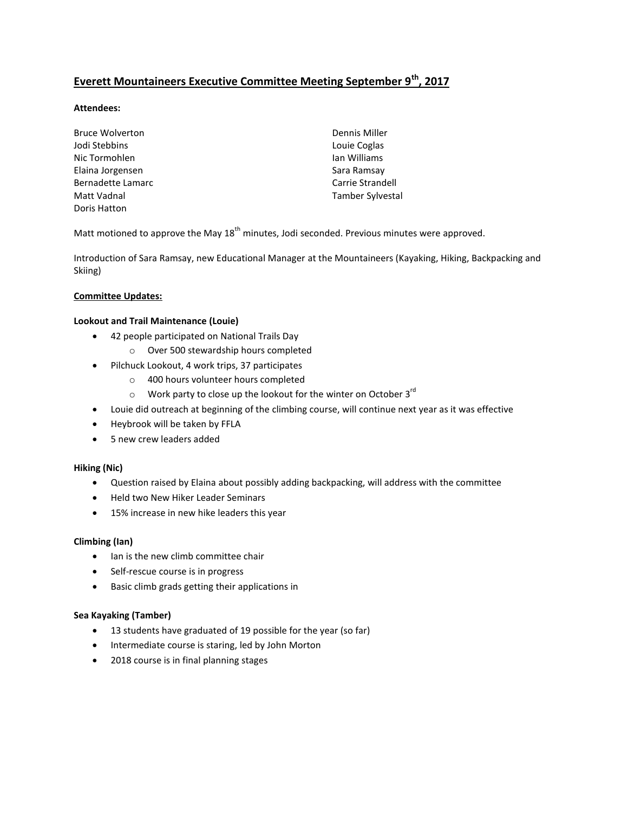# **Everett Mountaineers Executive Committee Meeting September 9th, 2017**

# **Attendees:**

| <b>Bruce Wolverton</b> | Dennis Miller    |
|------------------------|------------------|
| Jodi Stebbins          | Louie Coglas     |
| Nic Tormohlen          | Ian Williams     |
| Elaina Jorgensen       | Sara Ramsay      |
| Bernadette Lamarc      | Carrie Strandell |
| Matt Vadnal            | Tamber Sylvestal |
| Doris Hatton           |                  |

Matt motioned to approve the May  $18<sup>th</sup>$  minutes, Jodi seconded. Previous minutes were approved.

Introduction of Sara Ramsay, new Educational Manager at the Mountaineers (Kayaking, Hiking, Backpacking and Skiing)

### **Committee Updates:**

#### **Lookout and Trail Maintenance (Louie)**

- 42 people participated on National Trails Day
	- o Over 500 stewardship hours completed
- Pilchuck Lookout, 4 work trips, 37 participates
	- o 400 hours volunteer hours completed
	- $\circ$  Work party to close up the lookout for the winter on October 3 $^{\text{rd}}$
- Louie did outreach at beginning of the climbing course, will continue next year as it was effective
- Heybrook will be taken by FFLA
- 5 new crew leaders added

#### **Hiking (Nic)**

- Question raised by Elaina about possibly adding backpacking, will address with the committee
- Held two New Hiker Leader Seminars
- 15% increase in new hike leaders this year

#### **Climbing (Ian)**

- Ian is the new climb committee chair
- Self-rescue course is in progress
- Basic climb grads getting their applications in

#### **Sea Kayaking (Tamber)**

- 13 students have graduated of 19 possible for the year (so far)
- Intermediate course is staring, led by John Morton
- 2018 course is in final planning stages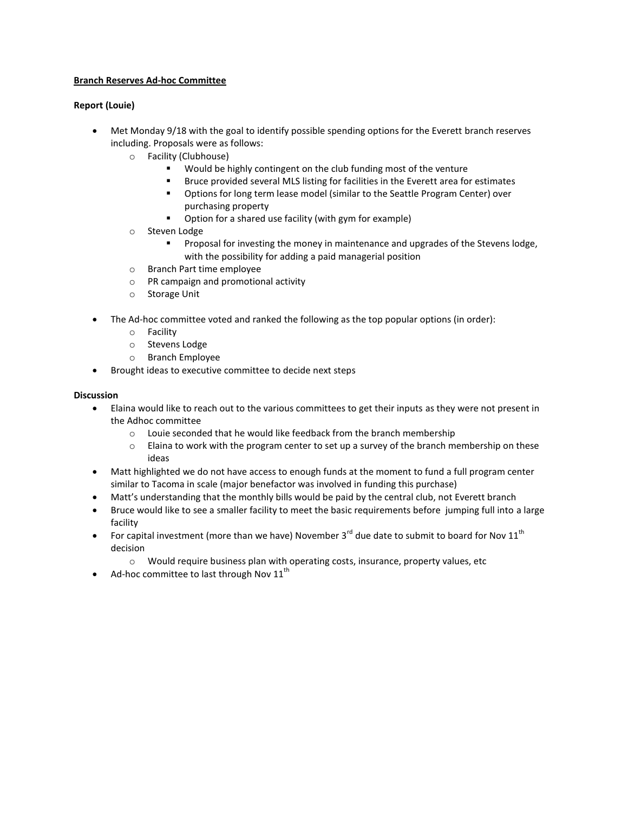### **Branch Reserves Ad-hoc Committee**

# **Report (Louie)**

- Met Monday 9/18 with the goal to identify possible spending options for the Everett branch reserves including. Proposals were as follows:
	- o Facility (Clubhouse)
		- Would be highly contingent on the club funding most of the venture
		- Bruce provided several MLS listing for facilities in the Everett area for estimates
		- Options for long term lease model (similar to the Seattle Program Center) over purchasing property
		- Option for a shared use facility (with gym for example)
	- o Steven Lodge
		- Proposal for investing the money in maintenance and upgrades of the Stevens lodge, with the possibility for adding a paid managerial position
	- o Branch Part time employee
	- o PR campaign and promotional activity
	- o Storage Unit
- The Ad-hoc committee voted and ranked the following as the top popular options (in order):
	- o Facility
	- o Stevens Lodge
	- o Branch Employee
- **•** Brought ideas to executive committee to decide next steps

### **Discussion**

- Elaina would like to reach out to the various committees to get their inputs as they were not present in the Adhoc committee
	- o Louie seconded that he would like feedback from the branch membership
	- $\circ$  Elaina to work with the program center to set up a survey of the branch membership on these ideas
- Matt highlighted we do not have access to enough funds at the moment to fund a full program center similar to Tacoma in scale (major benefactor was involved in funding this purchase)
- Matt's understanding that the monthly bills would be paid by the central club, not Everett branch
- Bruce would like to see a smaller facility to meet the basic requirements before jumping full into a large facility
- For capital investment (more than we have) November 3<sup>rd</sup> due date to submit to board for Nov 11<sup>th</sup> decision
	- $\circ$  Would require business plan with operating costs, insurance, property values, etc
- Ad-hoc committee to last through Nov  $11^{th}$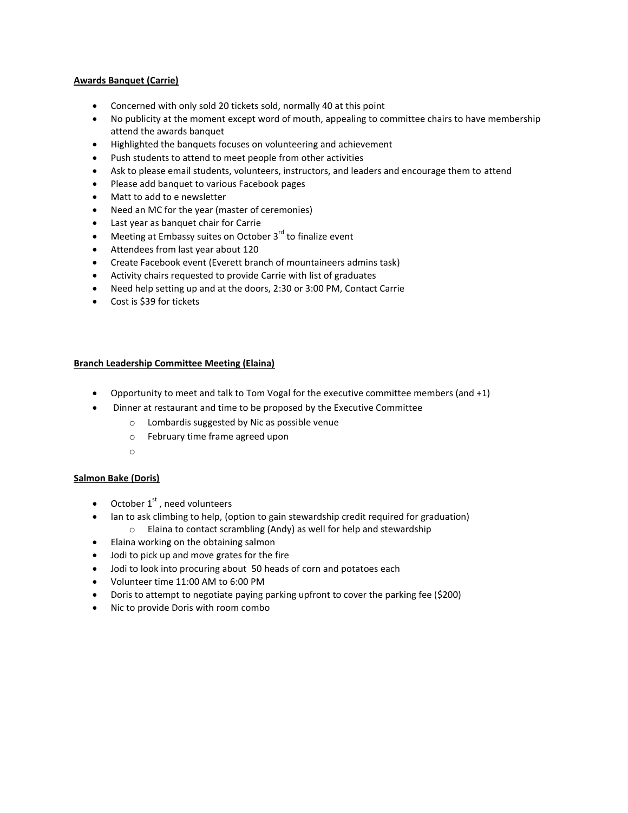### **Awards Banquet (Carrie)**

- Concerned with only sold 20 tickets sold, normally 40 at this point
- No publicity at the moment except word of mouth, appealing to committee chairs to have membership attend the awards banquet
- Highlighted the banquets focuses on volunteering and achievement
- Push students to attend to meet people from other activities
- Ask to please email students, volunteers, instructors, and leaders and encourage them to attend
- Please add banquet to various Facebook pages
- Matt to add to e newsletter
- Need an MC for the year (master of ceremonies)
- Last year as banquet chair for Carrie
- $\bullet$  Meeting at Embassy suites on October 3<sup>rd</sup> to finalize event
- Attendees from last year about 120
- Create Facebook event (Everett branch of mountaineers admins task)
- Activity chairs requested to provide Carrie with list of graduates
- Need help setting up and at the doors, 2:30 or 3:00 PM, Contact Carrie
- Cost is \$39 for tickets

# **Branch Leadership Committee Meeting (Elaina)**

- Opportunity to meet and talk to Tom Vogal for the executive committee members (and +1)
- Dinner at restaurant and time to be proposed by the Executive Committee
	- o Lombardis suggested by Nic as possible venue
	- o February time frame agreed upon
	- o

# **Salmon Bake (Doris)**

- October  $1<sup>st</sup>$ , need volunteers
- Ian to ask climbing to help, (option to gain stewardship credit required for graduation) o Elaina to contact scrambling (Andy) as well for help and stewardship
- Elaina working on the obtaining salmon
- Jodi to pick up and move grates for the fire
- Jodi to look into procuring about 50 heads of corn and potatoes each
- Volunteer time 11:00 AM to 6:00 PM
- Doris to attempt to negotiate paying parking upfront to cover the parking fee (\$200)
- Nic to provide Doris with room combo